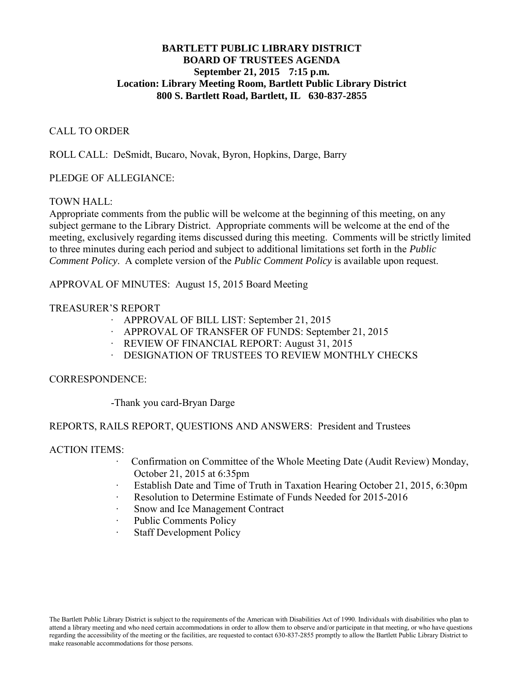## **BARTLETT PUBLIC LIBRARY DISTRICT BOARD OF TRUSTEES AGENDA September 21, 2015 7:15 p.m. Location: Library Meeting Room, Bartlett Public Library District 800 S. Bartlett Road, Bartlett, IL 630-837-2855**

### CALL TO ORDER

ROLL CALL: DeSmidt, Bucaro, Novak, Byron, Hopkins, Darge, Barry

## PLEDGE OF ALLEGIANCE:

## TOWN HALL:

Appropriate comments from the public will be welcome at the beginning of this meeting, on any subject germane to the Library District. Appropriate comments will be welcome at the end of the meeting, exclusively regarding items discussed during this meeting. Comments will be strictly limited to three minutes during each period and subject to additional limitations set forth in the *Public Comment Policy*. A complete version of the *Public Comment Policy* is available upon request.

APPROVAL OF MINUTES: August 15, 2015 Board Meeting

# TREASURER'S REPORT

- ∙ APPROVAL OF BILL LIST: September 21, 2015
- ∙ APPROVAL OF TRANSFER OF FUNDS: September 21, 2015
- ∙ REVIEW OF FINANCIAL REPORT: August 31, 2015
- ∙ DESIGNATION OF TRUSTEES TO REVIEW MONTHLY CHECKS

### CORRESPONDENCE:

-Thank you card-Bryan Darge

# REPORTS, RAILS REPORT, QUESTIONS AND ANSWERS: President and Trustees

### ACTION ITEMS:

- ∙ Confirmation on Committee of the Whole Meeting Date (Audit Review) Monday, October 21, 2015 at 6:35pm
- ∙ Establish Date and Time of Truth in Taxation Hearing October 21, 2015, 6:30pm
- ∙ Resolution to Determine Estimate of Funds Needed for 2015-2016
- ∙ Snow and Ice Management Contract
- ∙ Public Comments Policy
- ∙ Staff Development Policy